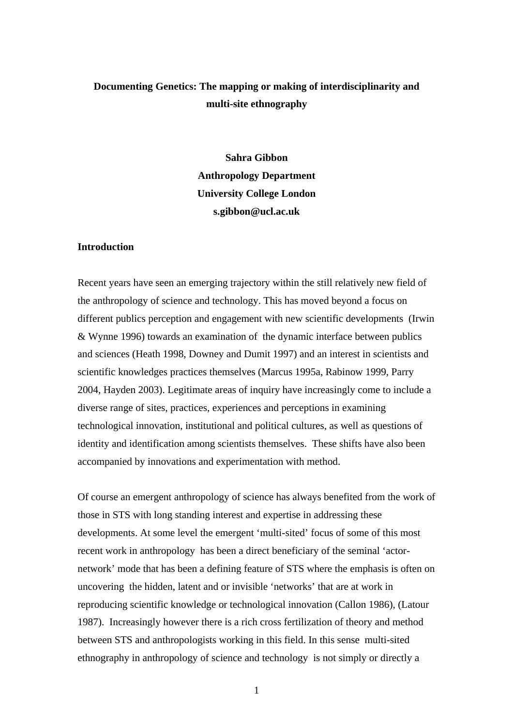## **Documenting Genetics: The mapping or making of interdisciplinarity and multi-site ethnography**

**Sahra Gibbon Anthropology Department University College London s.gibbon@ucl.ac.uk** 

## **Introduction**

Recent years have seen an emerging trajectory within the still relatively new field of the anthropology of science and technology. This has moved beyond a focus on different publics perception and engagement with new scientific developments (Irwin & Wynne 1996) towards an examination of the dynamic interface between publics and sciences (Heath 1998, Downey and Dumit 1997) and an interest in scientists and scientific knowledges practices themselves (Marcus 1995a, Rabinow 1999, Parry 2004, Hayden 2003). Legitimate areas of inquiry have increasingly come to include a diverse range of sites, practices, experiences and perceptions in examining technological innovation, institutional and political cultures, as well as questions of identity and identification among scientists themselves. These shifts have also been accompanied by innovations and experimentation with method.

Of course an emergent anthropology of science has always benefited from the work of those in STS with long standing interest and expertise in addressing these developments. At some level the emergent 'multi-sited' focus of some of this most recent work in anthropology has been a direct beneficiary of the seminal 'actornetwork' mode that has been a defining feature of STS where the emphasis is often on uncovering the hidden, latent and or invisible 'networks' that are at work in reproducing scientific knowledge or technological innovation (Callon 1986), (Latour 1987). Increasingly however there is a rich cross fertilization of theory and method between STS and anthropologists working in this field. In this sense multi-sited ethnography in anthropology of science and technology is not simply or directly a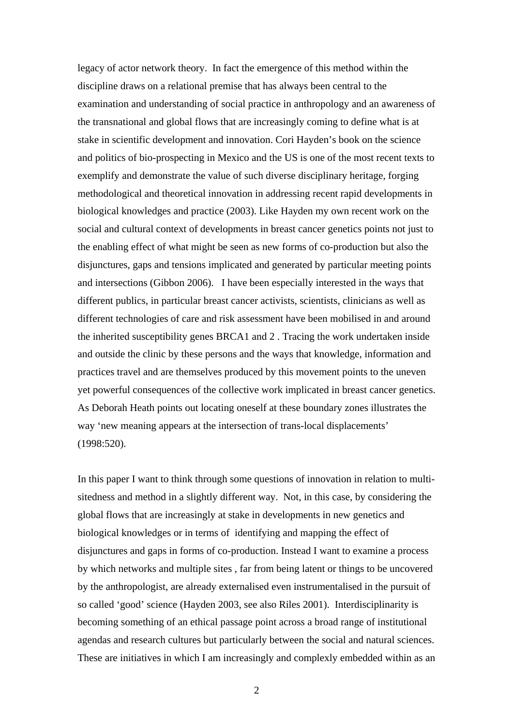legacy of actor network theory. In fact the emergence of this method within the discipline draws on a relational premise that has always been central to the examination and understanding of social practice in anthropology and an awareness of the transnational and global flows that are increasingly coming to define what is at stake in scientific development and innovation. Cori Hayden's book on the science and politics of bio-prospecting in Mexico and the US is one of the most recent texts to exemplify and demonstrate the value of such diverse disciplinary heritage, forging methodological and theoretical innovation in addressing recent rapid developments in biological knowledges and practice (2003). Like Hayden my own recent work on the social and cultural context of developments in breast cancer genetics points not just to the enabling effect of what might be seen as new forms of co-production but also the disjunctures, gaps and tensions implicated and generated by particular meeting points and intersections (Gibbon 2006). I have been especially interested in the ways that different publics, in particular breast cancer activists, scientists, clinicians as well as different technologies of care and risk assessment have been mobilised in and around the inherited susceptibility genes BRCA1 and 2 . Tracing the work undertaken inside and outside the clinic by these persons and the ways that knowledge, information and practices travel and are themselves produced by this movement points to the uneven yet powerful consequences of the collective work implicated in breast cancer genetics. As Deborah Heath points out locating oneself at these boundary zones illustrates the way 'new meaning appears at the intersection of trans-local displacements' (1998:520).

In this paper I want to think through some questions of innovation in relation to multisitedness and method in a slightly different way. Not, in this case, by considering the global flows that are increasingly at stake in developments in new genetics and biological knowledges or in terms of identifying and mapping the effect of disjunctures and gaps in forms of co-production. Instead I want to examine a process by which networks and multiple sites , far from being latent or things to be uncovered by the anthropologist, are already externalised even instrumentalised in the pursuit of so called 'good' science (Hayden 2003, see also Riles 2001). Interdisciplinarity is becoming something of an ethical passage point across a broad range of institutional agendas and research cultures but particularly between the social and natural sciences. These are initiatives in which I am increasingly and complexly embedded within as an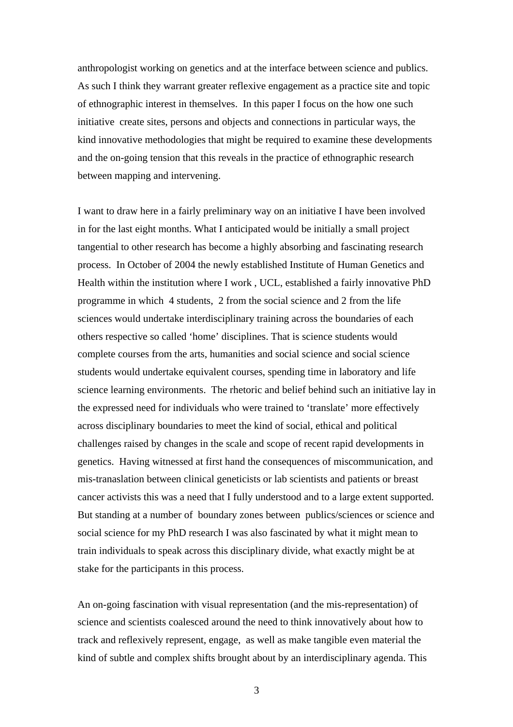anthropologist working on genetics and at the interface between science and publics. As such I think they warrant greater reflexive engagement as a practice site and topic of ethnographic interest in themselves. In this paper I focus on the how one such initiative create sites, persons and objects and connections in particular ways, the kind innovative methodologies that might be required to examine these developments and the on-going tension that this reveals in the practice of ethnographic research between mapping and intervening.

I want to draw here in a fairly preliminary way on an initiative I have been involved in for the last eight months. What I anticipated would be initially a small project tangential to other research has become a highly absorbing and fascinating research process. In October of 2004 the newly established Institute of Human Genetics and Health within the institution where I work , UCL, established a fairly innovative PhD programme in which 4 students, 2 from the social science and 2 from the life sciences would undertake interdisciplinary training across the boundaries of each others respective so called 'home' disciplines. That is science students would complete courses from the arts, humanities and social science and social science students would undertake equivalent courses, spending time in laboratory and life science learning environments. The rhetoric and belief behind such an initiative lay in the expressed need for individuals who were trained to 'translate' more effectively across disciplinary boundaries to meet the kind of social, ethical and political challenges raised by changes in the scale and scope of recent rapid developments in genetics. Having witnessed at first hand the consequences of miscommunication, and mis-tranaslation between clinical geneticists or lab scientists and patients or breast cancer activists this was a need that I fully understood and to a large extent supported. But standing at a number of boundary zones between publics/sciences or science and social science for my PhD research I was also fascinated by what it might mean to train individuals to speak across this disciplinary divide, what exactly might be at stake for the participants in this process.

An on-going fascination with visual representation (and the mis-representation) of science and scientists coalesced around the need to think innovatively about how to track and reflexively represent, engage, as well as make tangible even material the kind of subtle and complex shifts brought about by an interdisciplinary agenda. This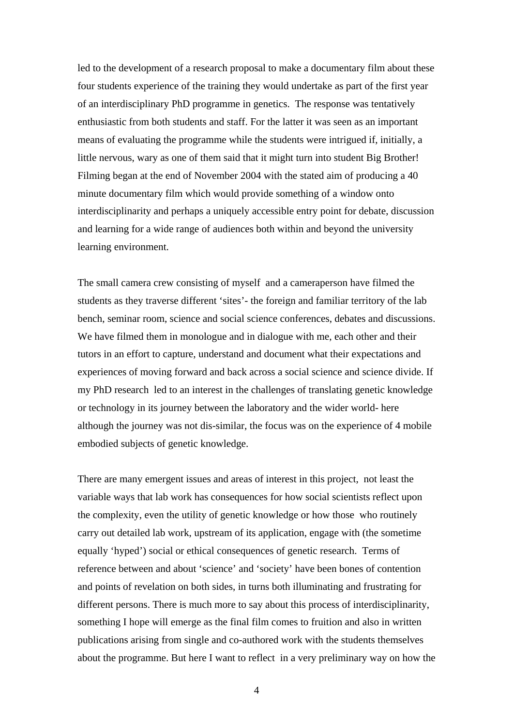led to the development of a research proposal to make a documentary film about these four students experience of the training they would undertake as part of the first year of an interdisciplinary PhD programme in genetics. The response was tentatively enthusiastic from both students and staff. For the latter it was seen as an important means of evaluating the programme while the students were intrigued if, initially, a little nervous, wary as one of them said that it might turn into student Big Brother! Filming began at the end of November 2004 with the stated aim of producing a 40 minute documentary film which would provide something of a window onto interdisciplinarity and perhaps a uniquely accessible entry point for debate, discussion and learning for a wide range of audiences both within and beyond the university learning environment.

The small camera crew consisting of myself and a cameraperson have filmed the students as they traverse different 'sites'- the foreign and familiar territory of the lab bench, seminar room, science and social science conferences, debates and discussions. We have filmed them in monologue and in dialogue with me, each other and their tutors in an effort to capture, understand and document what their expectations and experiences of moving forward and back across a social science and science divide. If my PhD research led to an interest in the challenges of translating genetic knowledge or technology in its journey between the laboratory and the wider world- here although the journey was not dis-similar, the focus was on the experience of 4 mobile embodied subjects of genetic knowledge.

There are many emergent issues and areas of interest in this project, not least the variable ways that lab work has consequences for how social scientists reflect upon the complexity, even the utility of genetic knowledge or how those who routinely carry out detailed lab work, upstream of its application, engage with (the sometime equally 'hyped') social or ethical consequences of genetic research. Terms of reference between and about 'science' and 'society' have been bones of contention and points of revelation on both sides, in turns both illuminating and frustrating for different persons. There is much more to say about this process of interdisciplinarity, something I hope will emerge as the final film comes to fruition and also in written publications arising from single and co-authored work with the students themselves about the programme. But here I want to reflect in a very preliminary way on how the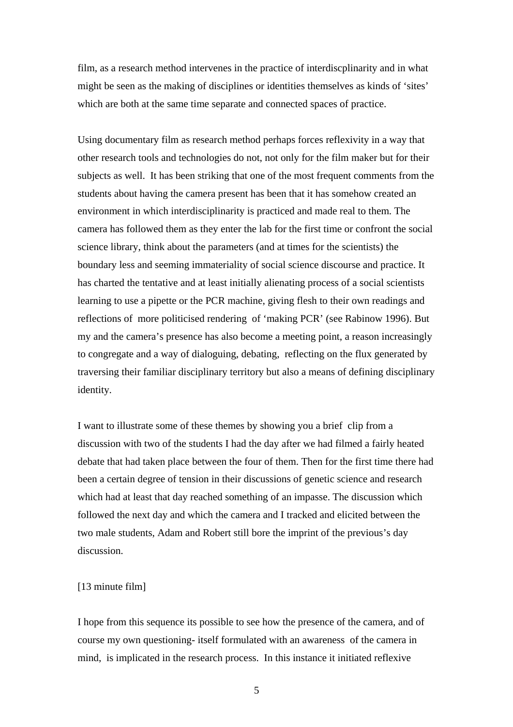film, as a research method intervenes in the practice of interdiscplinarity and in what might be seen as the making of disciplines or identities themselves as kinds of 'sites' which are both at the same time separate and connected spaces of practice.

Using documentary film as research method perhaps forces reflexivity in a way that other research tools and technologies do not, not only for the film maker but for their subjects as well. It has been striking that one of the most frequent comments from the students about having the camera present has been that it has somehow created an environment in which interdisciplinarity is practiced and made real to them. The camera has followed them as they enter the lab for the first time or confront the social science library, think about the parameters (and at times for the scientists) the boundary less and seeming immateriality of social science discourse and practice. It has charted the tentative and at least initially alienating process of a social scientists learning to use a pipette or the PCR machine, giving flesh to their own readings and reflections of more politicised rendering of 'making PCR' (see Rabinow 1996). But my and the camera's presence has also become a meeting point, a reason increasingly to congregate and a way of dialoguing, debating, reflecting on the flux generated by traversing their familiar disciplinary territory but also a means of defining disciplinary identity.

I want to illustrate some of these themes by showing you a brief clip from a discussion with two of the students I had the day after we had filmed a fairly heated debate that had taken place between the four of them. Then for the first time there had been a certain degree of tension in their discussions of genetic science and research which had at least that day reached something of an impasse. The discussion which followed the next day and which the camera and I tracked and elicited between the two male students, Adam and Robert still bore the imprint of the previous's day discussion.

## [13 minute film]

I hope from this sequence its possible to see how the presence of the camera, and of course my own questioning- itself formulated with an awareness of the camera in mind, is implicated in the research process. In this instance it initiated reflexive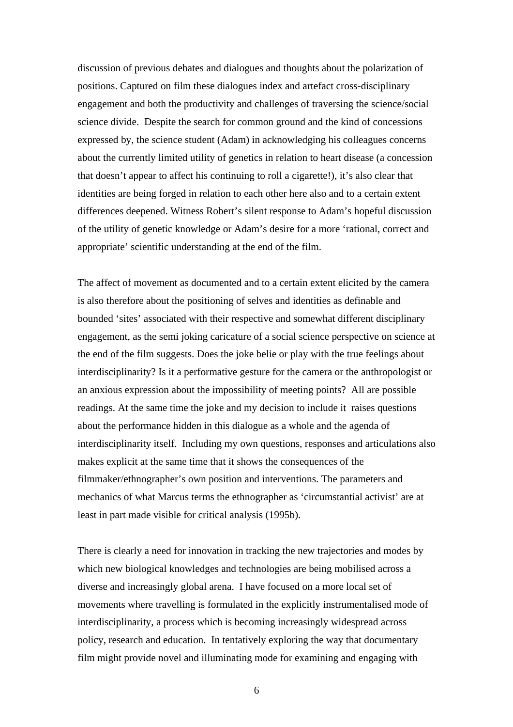discussion of previous debates and dialogues and thoughts about the polarization of positions. Captured on film these dialogues index and artefact cross-disciplinary engagement and both the productivity and challenges of traversing the science/social science divide. Despite the search for common ground and the kind of concessions expressed by, the science student (Adam) in acknowledging his colleagues concerns about the currently limited utility of genetics in relation to heart disease (a concession that doesn't appear to affect his continuing to roll a cigarette!), it's also clear that identities are being forged in relation to each other here also and to a certain extent differences deepened. Witness Robert's silent response to Adam's hopeful discussion of the utility of genetic knowledge or Adam's desire for a more 'rational, correct and appropriate' scientific understanding at the end of the film.

The affect of movement as documented and to a certain extent elicited by the camera is also therefore about the positioning of selves and identities as definable and bounded 'sites' associated with their respective and somewhat different disciplinary engagement, as the semi joking caricature of a social science perspective on science at the end of the film suggests. Does the joke belie or play with the true feelings about interdisciplinarity? Is it a performative gesture for the camera or the anthropologist or an anxious expression about the impossibility of meeting points? All are possible readings. At the same time the joke and my decision to include it raises questions about the performance hidden in this dialogue as a whole and the agenda of interdisciplinarity itself. Including my own questions, responses and articulations also makes explicit at the same time that it shows the consequences of the filmmaker/ethnographer's own position and interventions. The parameters and mechanics of what Marcus terms the ethnographer as 'circumstantial activist' are at least in part made visible for critical analysis (1995b).

There is clearly a need for innovation in tracking the new trajectories and modes by which new biological knowledges and technologies are being mobilised across a diverse and increasingly global arena. I have focused on a more local set of movements where travelling is formulated in the explicitly instrumentalised mode of interdisciplinarity, a process which is becoming increasingly widespread across policy, research and education. In tentatively exploring the way that documentary film might provide novel and illuminating mode for examining and engaging with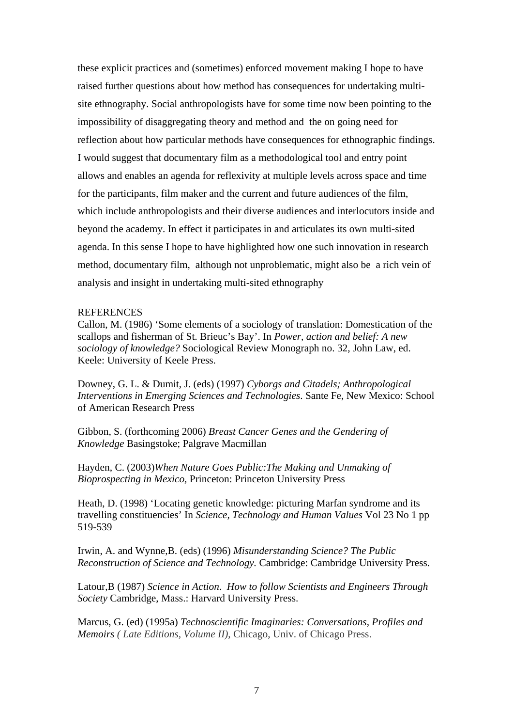these explicit practices and (sometimes) enforced movement making I hope to have raised further questions about how method has consequences for undertaking multisite ethnography. Social anthropologists have for some time now been pointing to the impossibility of disaggregating theory and method and the on going need for reflection about how particular methods have consequences for ethnographic findings. I would suggest that documentary film as a methodological tool and entry point allows and enables an agenda for reflexivity at multiple levels across space and time for the participants, film maker and the current and future audiences of the film, which include anthropologists and their diverse audiences and interlocutors inside and beyond the academy. In effect it participates in and articulates its own multi-sited agenda. In this sense I hope to have highlighted how one such innovation in research method, documentary film, although not unproblematic, might also be a rich vein of analysis and insight in undertaking multi-sited ethnography

## **REFERENCES**

Callon, M. (1986) 'Some elements of a sociology of translation: Domestication of the scallops and fisherman of St. Brieuc's Bay'. In *Power, action and belief: A new sociology of knowledge?* Sociological Review Monograph no. 32, John Law, ed. Keele: University of Keele Press.

Downey, G. L. & Dumit, J. (eds) (1997) *Cyborgs and Citadels; Anthropological Interventions in Emerging Sciences and Technologies*. Sante Fe, New Mexico: School of American Research Press

Gibbon, S. (forthcoming 2006) *Breast Cancer Genes and the Gendering of Knowledge* Basingstoke; Palgrave Macmillan

Hayden, C. (2003)*When Nature Goes Public:The Making and Unmaking of Bioprospecting in Mexico,* Princeton: Princeton University Press

Heath, D. (1998) 'Locating genetic knowledge: picturing Marfan syndrome and its travelling constituencies' In *Science, Technology and Human Values* Vol 23 No 1 pp 519-539

Irwin, A. and Wynne,B. (eds) (1996) *Misunderstanding Science? The Public Reconstruction of Science and Technology.* Cambridge: Cambridge University Press.

Latour,B (1987) *Science in Action*. *How to follow Scientists and Engineers Through Society* Cambridge, Mass.: Harvard University Press.

Marcus, G. (ed) (1995a) *Technoscientific Imaginaries: Conversations, Profiles and Memoirs ( Late Editions, Volume II)*, Chicago, Univ. of Chicago Press.